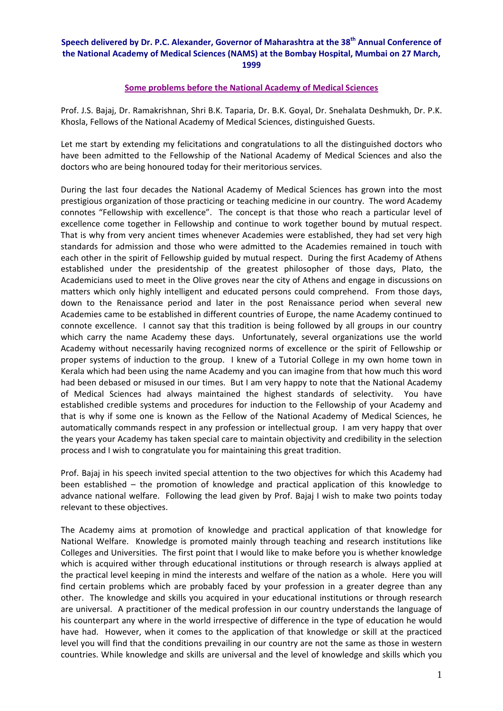## **Speech delivered by Dr. P.C. Alexander, Governor of Maharashtra at the 38th Annual Conference of the National Academy of Medical Sciences (NAMS) at the Bombay Hospital, Mumbai on 27 March, 1999**

## **Some problems before the National Academy of Medical Sciences**

Prof. J.S. Bajaj, Dr. Ramakrishnan, Shri B.K. Taparia, Dr. B.K. Goyal, Dr. Snehalata Deshmukh, Dr. P.K. Khosla, Fellows of the National Academy of Medical Sciences, distinguished Guests.

Let me start by extending my felicitations and congratulations to all the distinguished doctors who have been admitted to the Fellowship of the National Academy of Medical Sciences and also the doctors who are being honoured today for their meritorious services.

During the last four decades the National Academy of Medical Sciences has grown into the most prestigious organization of those practicing or teaching medicine in our country. The word Academy connotes "Fellowship with excellence". The concept is that those who reach a particular level of excellence come together in Fellowship and continue to work together bound by mutual respect. That is why from very ancient times whenever Academies were established, they had set very high standards for admission and those who were admitted to the Academies remained in touch with each other in the spirit of Fellowship guided by mutual respect. During the first Academy of Athens established under the presidentship of the greatest philosopher of those days, Plato, the Academicians used to meet in the Olive groves near the city of Athens and engage in discussions on matters which only highly intelligent and educated persons could comprehend. From those days, down to the Renaissance period and later in the post Renaissance period when several new Academies came to be established in different countries of Europe, the name Academy continued to connote excellence. I cannot say that this tradition is being followed by all groups in our country which carry the name Academy these days. Unfortunately, several organizations use the world Academy without necessarily having recognized norms of excellence or the spirit of Fellowship or proper systems of induction to the group. I knew of a Tutorial College in my own home town in Kerala which had been using the name Academy and you can imagine from that how much this word had been debased or misused in our times. But I am very happy to note that the National Academy of Medical Sciences had always maintained the highest standards of selectivity. You have established credible systems and procedures for induction to the Fellowship of your Academy and that is why if some one is known as the Fellow of the National Academy of Medical Sciences, he automatically commands respect in any profession or intellectual group. I am very happy that over the years your Academy has taken special care to maintain objectivity and credibility in the selection process and I wish to congratulate you for maintaining this great tradition.

Prof. Bajaj in his speech invited special attention to the two objectives for which this Academy had been established – the promotion of knowledge and practical application of this knowledge to advance national welfare. Following the lead given by Prof. Bajaj I wish to make two points today relevant to these objectives.

The Academy aims at promotion of knowledge and practical application of that knowledge for National Welfare. Knowledge is promoted mainly through teaching and research institutions like Colleges and Universities. The first point that I would like to make before you is whether knowledge which is acquired wither through educational institutions or through research is always applied at the practical level keeping in mind the interests and welfare of the nation as a whole. Here you will find certain problems which are probably faced by your profession in a greater degree than any other. The knowledge and skills you acquired in your educational institutions or through research are universal. A practitioner of the medical profession in our country understands the language of his counterpart any where in the world irrespective of difference in the type of education he would have had. However, when it comes to the application of that knowledge or skill at the practiced level you will find that the conditions prevailing in our country are not the same as those in western countries. While knowledge and skills are universal and the level of knowledge and skills which you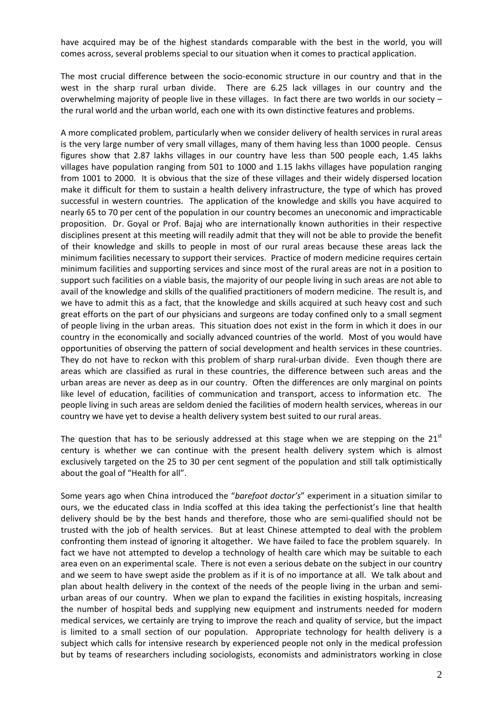have acquired may be of the highest standards comparable with the best in the world, you will comes across, several problems special to our situation when it comes to practical application.

The most crucial difference between the socio-economic structure in our country and that in the west in the sharp rural urban divide. There are 6.25 lack villages in our country and the overwhelming majority of people live in these villages. In fact there are two worlds in our society – the rural world and the urban world, each one with its own distinctive features and problems.

A more complicated problem, particularly when we consider delivery of health services in rural areas is the very large number of very small villages, many of them having less than 1000 people. Census figures show that 2.87 lakhs villages in our country have less than 500 people each, 1.45 lakhs villages have population ranging from 501 to 1000 and 1.15 lakhs villages have population ranging from 1001 to 2000. It is obvious that the size of these villages and their widely dispersed location make it difficult for them to sustain a health delivery infrastructure, the type of which has proved successful in western countries. The application of the knowledge and skills you have acquired to nearly 65 to 70 per cent of the population in our country becomes an uneconomic and impracticable proposition. Dr. Goyal or Prof. Bajaj who are internationally known authorities in their respective disciplines present at this meeting will readily admit that they will not be able to provide the benefit of their knowledge and skills to people in most of our rural areas because these areas lack the minimum facilities necessary to support their services. Practice of modern medicine requires certain minimum facilities and supporting services and since most of the rural areas are not in a position to support such facilities on a viable basis, the majority of our people living in such areas are not able to avail of the knowledge and skills of the qualified practitioners of modern medicine. The result is, and we have to admit this as a fact, that the knowledge and skills acquired at such heavy cost and such great efforts on the part of our physicians and surgeons are today confined only to a small segment of people living in the urban areas. This situation does not exist in the form in which it does in our country in the economically and socially advanced countries of the world. Most of you would have opportunities of observing the pattern of social development and health services in these countries. They do not have to reckon with this problem of sharp rural-urban divide. Even though there are areas which are classified as rural in these countries, the difference between such areas and the urban areas are never as deep as in our country. Often the differences are only marginal on points like level of education, facilities of communication and transport, access to information etc. The people living in such areas are seldom denied the facilities of modern health services, whereas in our country we have yet to devise a health delivery system best suited to our rural areas.

The question that has to be seriously addressed at this stage when we are stepping on the  $21<sup>st</sup>$ century is whether we can continue with the present health delivery system which is almost exclusively targeted on the 25 to 30 per cent segment of the population and still talk optimistically about the goal of "Health for all".

Some years ago when China introduced the "*barefoot doctor's*" experiment in a situation similar to ours, we the educated class in India scoffed at this idea taking the perfectionist's line that health delivery should be by the best hands and therefore, those who are semi‐qualified should not be trusted with the job of health services. But at least Chinese attempted to deal with the problem confronting them instead of ignoring it altogether. We have failed to face the problem squarely. In fact we have not attempted to develop a technology of health care which may be suitable to each area even on an experimental scale. There is not even a serious debate on the subject in our country and we seem to have swept aside the problem as if it is of no importance at all. We talk about and plan about health delivery in the context of the needs of the people living in the urban and semiurban areas of our country. When we plan to expand the facilities in existing hospitals, increasing the number of hospital beds and supplying new equipment and instruments needed for modern medical services, we certainly are trying to improve the reach and quality of service, but the impact is limited to a small section of our population. Appropriate technology for health delivery is a subject which calls for intensive research by experienced people not only in the medical profession but by teams of researchers including sociologists, economists and administrators working in close